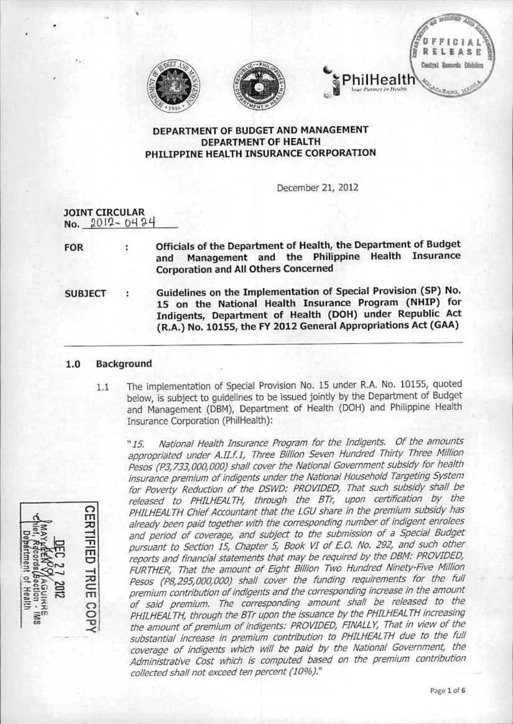

•





December 21, 2012

hilHealth

| <b>JOINT CIRCULAR</b><br>No. 2012-0424 |   |                                                                                                                                                                                                                                                        |
|----------------------------------------|---|--------------------------------------------------------------------------------------------------------------------------------------------------------------------------------------------------------------------------------------------------------|
| <b>FOR</b>                             | ÷ | Officials of the Department of Health, the Department of Budget<br>Management and the Philippine Health Insurance<br>and<br><b>Corporation and All Others Concerned</b>                                                                                |
| <b>SUBJECT</b>                         |   | Guidelines on the Implementation of Special Provision (SP) No.<br>15 on the National Health Insurance Program (NHIP) for<br>Indigents, Department of Health (DOH) under Republic Act<br>(R.A.) No. 10155, the FY 2012 General Appropriations Act (GAA) |

# 1.0 Background

1.1 The implementation of Special Provision No. 15 under R.A. No. 10155, quoted below, is subject to guidelines to be issued Jointly by the Department of Budget and Management (DBM), Department of Health (DOH) and Philippine Health Insurance Corporation (PhilHealth):

*"15. National Health Insurance Program for the Indigents. Of the iJmounts appropriated under A.JI.f.I, Three Billion Seven Hundred Thirty Three Million Pesos(P3,733,OOO,OOO) shall cover the National Government subsidy for health insurance premium of indigents under the National Household Targeting System for Poverty Reduction of the DSWD: PROVIDED, Thilt sudi subsidy shall be released to PHILHEALTH, through the Orr, upon certification by the PHJLHEALTHChiefAccountiJntthat the LGUshare in the premium subsidy has already been paid together with the corresponding number of indigent enrolees and period of coverage, and subject to the submission of a Special Budget pursuant to Section* 15, *Chapter* 5, *Book VI of £.0. No.* 292, *and such other repotts and financial statements that may be required by the 001'1:PROVIDED, fURTHER, That the amount of Eight Biilion Two Hundred Ninety-Ave Million Pesos (P8,295,OOO,OOO) shail cover the funding requirements for the fulf*  $p$ remium *contribution* of *indigents* and the *corresponding* increase in the amount *of said premium. The corresponding amount shafl be released to the PHILHEALTH,through the orr upon the issuance by the PHILHEALTH increasing the amount of premium of indigents: PROVIDED,fINALLY, That in VIewof the substantiai Increase in premium conlnoution to PHILHEALTH due tD the full coverage of Indigents whiCh Will be pi1id by the Natr'onal Government, the Administrative Cost which is computed based on the premium contribution collectedshall not exceedten percent (10%)."*



•

 $0+A$ LEASE Contral Boconda Disision

 $\frac{1}{2}$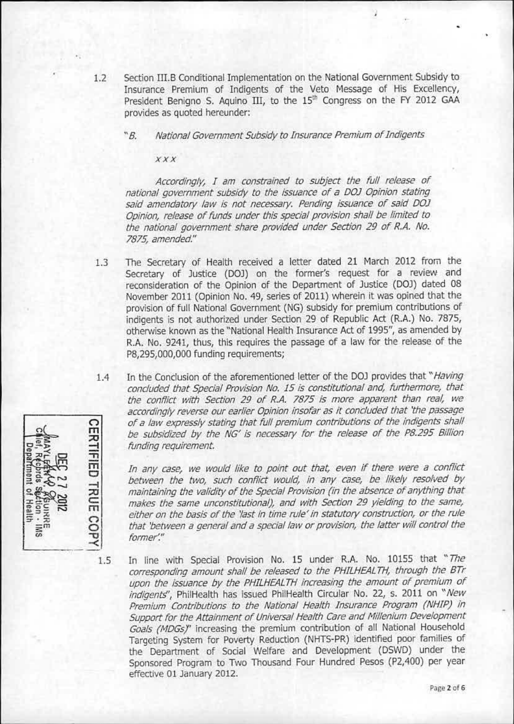- 1.2 Section III.B Conditional Implementation on the National Government Subsidy to Insurance Premium of Indigents of the Veto Message of His Excellency, President Benigno S. Aquino III, to the 15<sup>th</sup> Congress on the FY 2012 GAA provides as quoted hereunder:
	- *~B. National GovernmentSubsidyto Insurance Premium of Indigents*

*ax*

*Accordingiy,. I am constraliled to subject the fuil reiea5e of national government subsidy to the Issuance of a DOJ Opinion stating siJld amendatory law is not necessary. Pending issuance of said OOJ Opimon.reiease of funds under this special provision Shalibe limited to the national government share provldf.'d under Section* 29 *of R.A, No. 7875, amended"*

- 1.3 The Secretary of Health received a letter dated 21 March 2012 from the Secretary of Justice (DOJ) on the former's request for a review and reconsideration of the Opinion of the Department of Justice (DOJ) dated 08 November 2011 (Opinion No. 49, series of 2011) wherein it was opined that the provision of full National Government (NG) subsidy for premium contributions of indigents is not authorized under section 29 of Republic Act (R.A.) No. 7B7S, otherwise known as the "National Health Insurance Act of 1995", as amended by R.A. No. 9241, thus, this requires the passage of a law for the release of the P8,295,000,000 funding requirements;
- In the Conclusion of the aforementioned letter of the DOJ provides that "*Having* 1.4 *conciuded that Special ProvisionNo. J5 is constitutional and furthennore, that the conflier with section* 29 *of R.A.* 7875 *is more apparent than real, we accordingly reverse our earlier Opinion insofar as It concluded that 'the passage of a law expressly stating that full premium contributions of the indigents shail* **CERTIFIED** *be subsidized by the Ne;' is necessary for the release of the P8.295 Billion funding requirement.*

*In any case, we would like to point out that, even if there were a conflict: between the two, such conflict: would, in any case, be likely resoived by maintaining* the validity of the Special Provision (in the absence of anything that *makes the same unconstitutional), and with Section* 29 *yielding to the same, either on the basis of the 'last in time rule'in statutory construction. or the ruie that 'between a general and a special law or provision, the latter will control the former'.#*

1.5

TRUE COPY

In line with Special Provision No. 15 under R.A. No. 10155 that "The *corresponding amount shall be reieased to the PffILHEALTH. through the Brr upon the Issuanceby the PHILHEALTHincreasing the amount of premium of indigents',* PhilHealth has issued PhilHealth Circular No. 22, s. 2011 on ~*New Premium Contriimtions to the Nationai Health Insurance Program (NHIP) in Support for tile Attainment of UniversalHeaith Careand Millenium Development* Goals (MDGs)<sup>"</sup> increasing the premium contribution of all National Household Targeting System for Poverty Reduction (NHTS-PR) identified poor families of the Department of Social Welfare and Development (DSWD) under the Sponsored Program to Two Thousand Four Hundred Pesos (P2,400) per year effective 01 January 2012.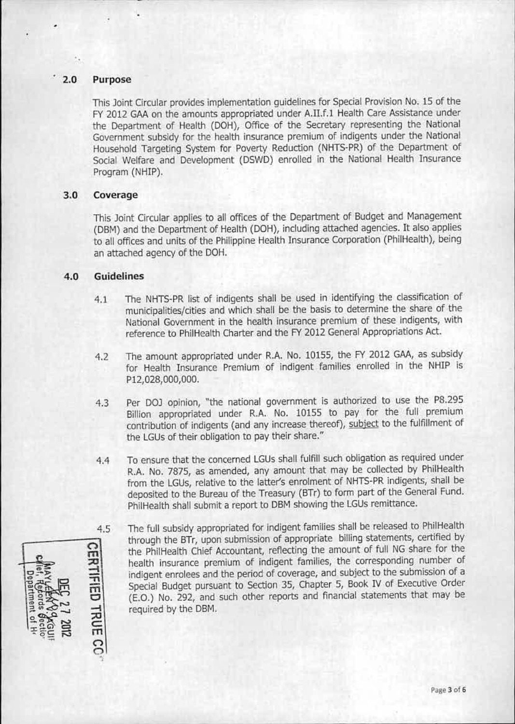# 2.0 Purpose

This Joint Circular provides implementation guidelines for Special Provision No. 15 of the FY 2012 GAA on the amounts appropriated under A.II.f.1 Health Care Assistance under the Department of Health (DOH), Office of the Secretary representing the National Government subsidy for the health insurance premium of indigents under the National Household Targeting System for Poverty Reduction (NHTS-PR) of the Department of Social Welfare and Development (DSWD) enrolled in the National Health Insurance Program (NHIP).

## 3.0 Coverage

This Joint Circular applies to all offices of the Department of Budget and Management (DBM) and the Department of Health (DOH), including attached agencies. It also applies to all offices and units of the Philippine Health Insurance Corporation (PhilHealth), being an attached agency of the DOH.

# 4.0 Guidelines

- 4.1 The NHTS-PR list of indigents shall be used in identifying the classification of municipalities/cities and which shall be the basis to determine the share of the National Government in the health insurance premium of these indigents, with reference to PhilHealth Charter and the FY 2012 General Appropriations Act.
- 4.2 The amount appropriated under R.A. No. 10155, the FY 2012 GAA, as subsidy for Health Insurance Premium of indigent families enrolled in the NHIP is P12,028,OOO,OOO.
- 4.3 Per DOJ opinion, "the national government is authorized to use the P8.295 8illion appropriated under R.A. No. 10155 to pay for the fuli premium contribution of indigents (and any increase thereof), subject to the fulfillment of the LGUs of their obligation to pay their share."
- 4.4 To ensure that the concerned LGUs shall fulfill such obligation as required under R.A. No. 7875, as amended, any amount that may be collected by PhilHealth from the LGUs, relative to the latter's enrolment of NHTS-PR indigents, shall be deposited to the Bureau of the Treasury (BTr) to form part of the General Fund. PhilHealth shall submit a report to DBM showing the LGUs remittance.

4.5  $\Xi$ 고<br><u>구</u> m c •••• '" co m  $\frac{1}{2}$ 

The full subsidy appropriated for indigent families shall be released to PhilHealth through the BTr, upon submission of appropriate billing statements, certified by the PhilHeaith Chief Accountant, reflecting the amount of full NGshare for the health insurance premium of indigent families, the corresponding number of indigent enrolees and the period of coverage, and subject to the submission of a Special Budget pursuant to sectlon 35, Chapter 5, Book *N* of Executive Order (E.O.) No. 292, and such other reports and financial statements that may be required by the DBM.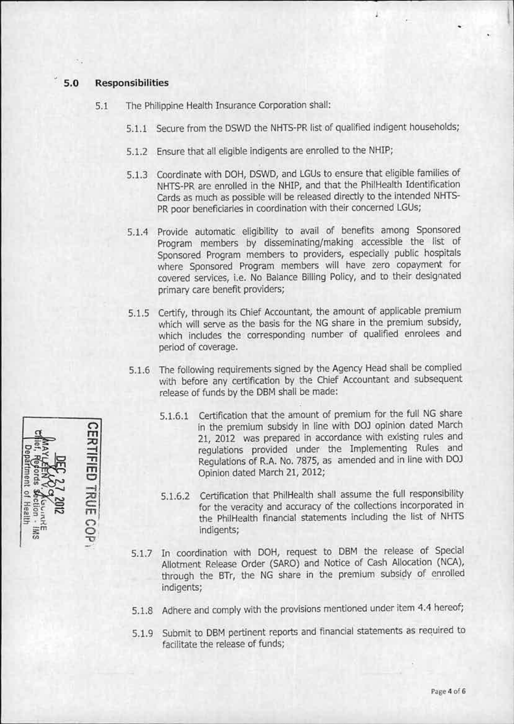### $5.0$ **Responsibilities**

- The Philippine Health Insurance Corporation shall:  $5.1$ 
	- 5.1.1 Secure from the DSWD the NHTS-PR list of qualified indigent households;
	- 5.1.2 Ensure that all eligible indigents are enrolled to the NHIP;
	- 5.1.3 Coordinate with DOH, DSWD, and LGUs to ensure that eligible families of NHTS-PR are enrolled in the NHIP, and that the PhilHealth Identification Cards as much as possible will be released directly to the intended NHTS-PR poor beneficiaries in coordination with their concerned LGUs;
	- 5.1.4 Provide automatic eligibility to avail of benefits among Sponsored Program members by disseminating/making accessible the list of Sponsored Program members to providers, especially public hospitals where Sponsored Program members will have zero copayment for covered services, i.e. No Balance Billing Policy, and to their designated primary care benefit providers;
	- 5.1.5 Certify, through its Chief Accountant, the amount of applicable premium which will serve as the basis for the NG share in the premium subsidy, which includes the corresponding number of qualified enrolees and period of coverage.
	- 5.1.6 The following requirements signed by the Agency Head shall be complied with before any certification by the Chief Accountant and subsequent release of funds by the DBM shall be made:
		- 5.1.6.1 Certification that the amount of premium for the full NG share in the premium subsidy in line with DOJ opinion dated March 21, 2012 was prepared in accordance with existing rules and requlations provided under the Implementing Rules and Regulations of R.A. No. 7875, as amended and in line with DOJ Opinion dated March 21, 2012;
		- 5.1.6.2 Certification that PhilHealth shall assume the full responsibility for the veracity and accuracy of the collections incorporated in the PhilHealth financial statements including the list of NHTS indigents;
	- 5.1.7 In coordination with DOH, request to DBM the release of Special Allotment Release Order (SARO) and Notice of Cash Allocation (NCA), through the BTr, the NG share in the premium subsidy of enrolled indigents;
	- 5.1.8 Adhere and comply with the provisions mentioned under item 4.4 hereof;
	- 5.1.9 Submit to DBM pertinent reports and financial statements as required to facilitate the release of funds;

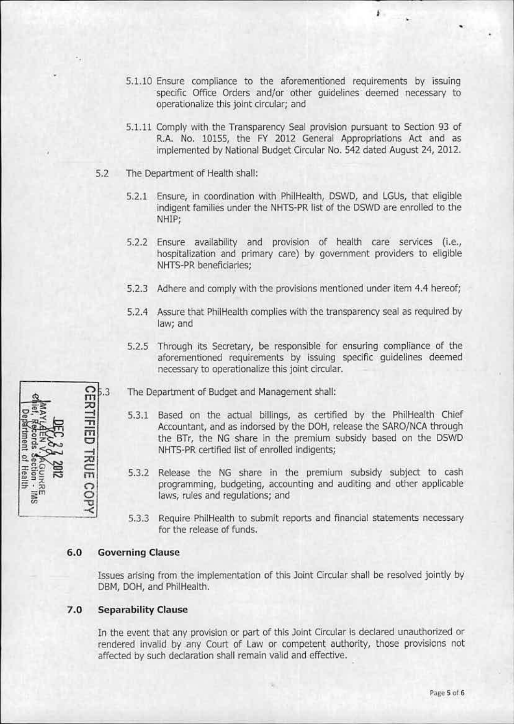5.1.10 Ensure compliance to the aforementioned requirements by issuing specific Office Orders and/or other quidelines deemed necessary to operationalize this joint circular; and

F.

- 5.1.11 Comply with the Transparency Seal provision pursuant to Section 93 of R.A. No. 10155, the FY 2012 General Appropriations Act and as implemented by National Budget Circular No. 542 dated August 24, 2012.
- 5.2 The Department of Health shall:
	- 5.2.1 Ensure, in coordination with PhilHealth, DSWD, and LGUs, that eligible indigent families under the NHTS-PR list of the DSWD are enrolled to the NHIP:
	- 5.2.2 Ensure availability and provision of health care services (i.e., hospitalization and primary care) by government providers to eligible NHTS-PR beneficiaries;
	- 5.2.3 Adhere and comply with the provisions mentioned under item 4.4 hereof;
	- 5.2.4 Assure that PhilHealth complies with the transparency seal as required by law; and
	- 5.2.5 Through its Secretary, be responsible for ensuring compliance of the aforementioned requirements by issuing specific guidelines deemed necessary to operationalize this joint circular.
	- The Department of Budget and Management shall:
		- 5.3.1 Based on the actual billings, as certified by the PhilHealth Chief Accountant, and as indorsed by the DOH, release the SARO/NCA through the BTr, the NG share in the premium subsidy based on the DSWD NHTS-PR certified list of enrolled indigents;
		- 5.3.2 Release the NG share in the premium subsidy subject to cash programming, budgeting, accounting and auditing and other applicable laws, rules and regulations; and
		- 5.3.3 Require PhilHealth to submit reports and financial statements necessary for the release of funds.

#### $6.0$ **Governing Clause**

Issues arising from the implementation of this Joint Circular shall be resolved jointly by DBM, DOH, and PhilHealth.

#### $7.0$ **Separability Clause**

In the event that any provision or part of this Joint Circular is declared unauthorized or rendered invalid by any Court of Law or competent authority, those provisions not affected by such declaration shall remain valid and effective.